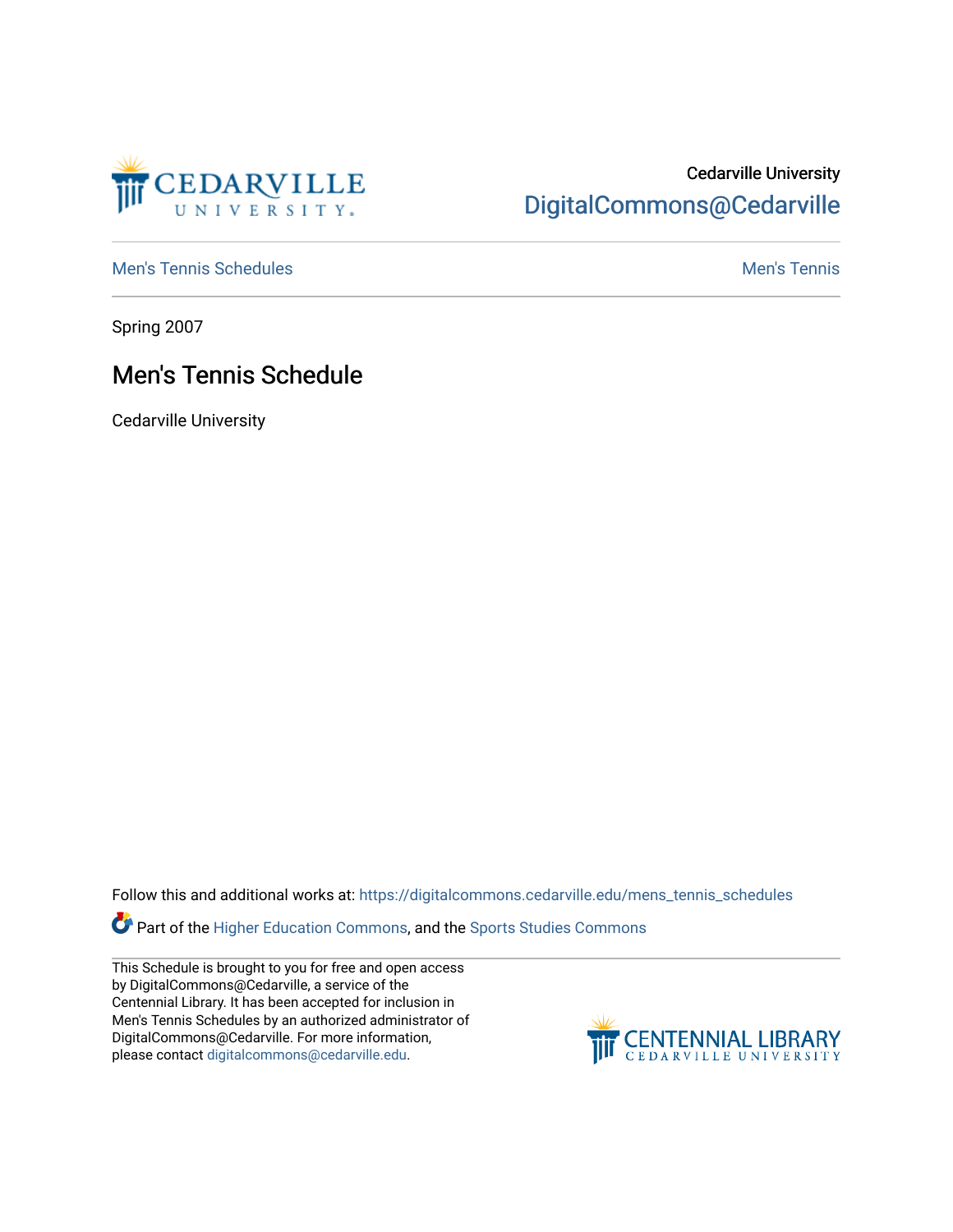

## Cedarville University [DigitalCommons@Cedarville](https://digitalcommons.cedarville.edu/)

[Men's Tennis Schedules](https://digitalcommons.cedarville.edu/mens_tennis_schedules) [Men's Tennis](https://digitalcommons.cedarville.edu/mens_tennis) Schedules Men's Tennis Schedules Men's Tennis

Spring 2007

## Men's Tennis Schedule

Cedarville University

Follow this and additional works at: [https://digitalcommons.cedarville.edu/mens\\_tennis\\_schedules](https://digitalcommons.cedarville.edu/mens_tennis_schedules?utm_source=digitalcommons.cedarville.edu%2Fmens_tennis_schedules%2F42&utm_medium=PDF&utm_campaign=PDFCoverPages) 

Part of the [Higher Education Commons,](http://network.bepress.com/hgg/discipline/1245?utm_source=digitalcommons.cedarville.edu%2Fmens_tennis_schedules%2F42&utm_medium=PDF&utm_campaign=PDFCoverPages) and the [Sports Studies Commons](http://network.bepress.com/hgg/discipline/1198?utm_source=digitalcommons.cedarville.edu%2Fmens_tennis_schedules%2F42&utm_medium=PDF&utm_campaign=PDFCoverPages) 

This Schedule is brought to you for free and open access by DigitalCommons@Cedarville, a service of the Centennial Library. It has been accepted for inclusion in Men's Tennis Schedules by an authorized administrator of DigitalCommons@Cedarville. For more information, please contact [digitalcommons@cedarville.edu](mailto:digitalcommons@cedarville.edu).